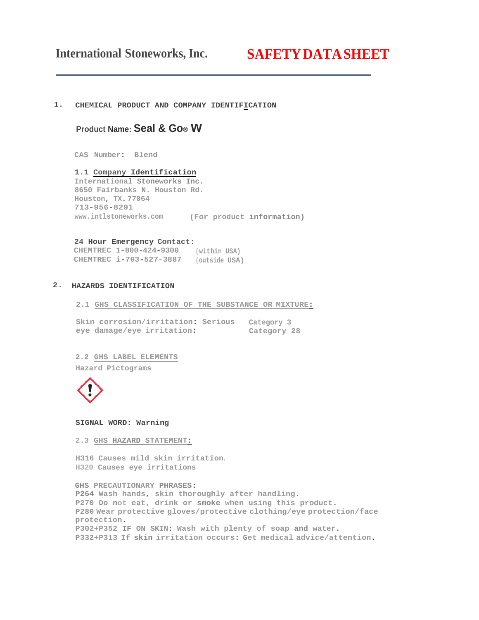# **International Stoneworks, Inc. SAFETYDATASHEET**

#### **1. CHEMICAL PRODUCT AND COMPANY IDENTIFICATION**

# **Product Name: Seal & Go® w**

**CAS Number: Blend**

**1.1 Company Identification International Stoneworks Inc. 8650 Fairbanks N. Houston Rd. Houston, TX. 77064 713-956-8291 www.intlstoneworks.com (For product information)**

#### **24 Hour Emergency Contact:**

**CHEMTREC 1-800-424-9300 (within USA) CHEMTREC i-703-527-3887 (outside USA)**

# **2. HAZARDS IDENTIFICATION**

**2.1 GHS CLASSIFICATION OF THE SUBSTANCE OR MIXTURE:**

|  | Skin corrosion/irritation: Serious | Category 3  |  |
|--|------------------------------------|-------------|--|
|  | eye damage/eye irritation:         | Category 28 |  |

**2.2 GHS LABEL ELEMENTS**

**Hazard Pictograms**



**SIGNAL WORD: Warning**

**2.3 GHS HAZARD STATEMENT:**

**H316 Causes mild skin irritation. H320 Causes eye irritations**

**GHS PRECAUTIONARY PHRASES: P264 Wash hands, skin thoroughly after handling. P270 Do not eat, drink or smoke when using this product. P280 Wear protective gloves/protective clothing/eye protection/face protection. P302+P352 IF ON SKIN: Wash with plenty of soap and water. P332+P313 If skin irritation occurs: Get medical advice/attention.**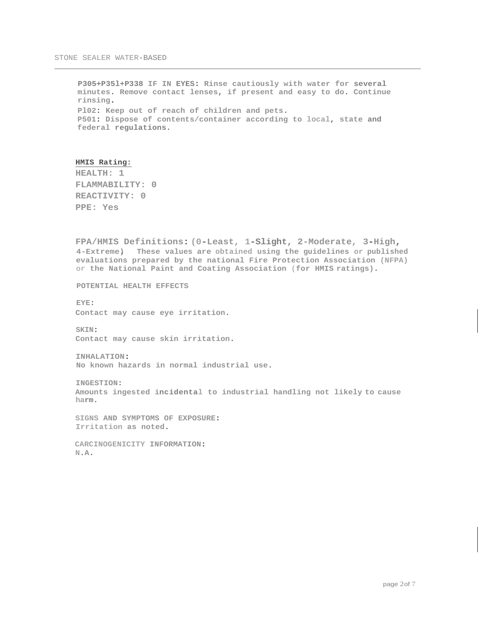**P305+P35l+P338 IF IN EYES: Rinse cautiously with water for several minutes. Remove contact lenses, if present and easy to do. Continue rinsing. Pl02: Keep out of reach of children and pets. P501: Dispose of contents/container according to local, state and federal regulations.**

#### **HMIS Rating:**

**HEALTH: 1 FLAMMABILITY: 0 REACTIVITY: 0 PPE: Yes**

**FPA/HMIS Definitions: (0-Least, 1-Slight, 2-Moderate, 3-High, 4-Extreme). These values are obtained using the guidelines or published evaluations prepared by the national Fire Protection Association (NFPA) or the National Paint and Coating Association (for HMIS ratings).**

**POTENTIAL HEALTH EFFECTS** 

**EYE: Contact may cause eye irritation.**

**SKIN: Contact may cause skin irritation.**

**INHALATION: No known hazards in normal industrial use.**

**INGESTION: Amounts ingested incidental to industrial handling not likely to cause harm.**

**SIGNS AND SYMPTOMS OF EXPOSURE: Irritation as noted.**

**CARCINOGENICITY INFORMATION: N.A.**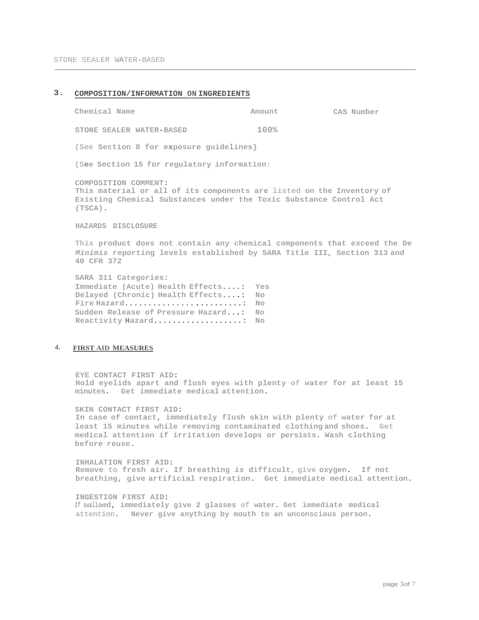# **3. COMPOSITION/INFORMATION ON INGREDIENTS**

| Chemical Name                                                                                                                                                                     | Amount | CAS Number |  |  |  |
|-----------------------------------------------------------------------------------------------------------------------------------------------------------------------------------|--------|------------|--|--|--|
| STONE SEALER WATER-BASED                                                                                                                                                          | 100%   |            |  |  |  |
| (See Section 8 for exposure guidelines)                                                                                                                                           |        |            |  |  |  |
| (See Section 15 for regulatory information:                                                                                                                                       |        |            |  |  |  |
| COMPOSITION COMMENT:<br>This material or all of its components are listed on the Inventory of<br>Existing Chemical Substances under the Toxic Substance Control Act<br>$(TSCA)$ . |        |            |  |  |  |
| HAZARDS DISCLOSURE                                                                                                                                                                |        |            |  |  |  |
| بالملا المتحدثين المتحليل منطبو ووسومت الامتراضي والمتحدث المتحدث والمناسب والمتحدث والمتحدث والمحافظ                                                                             |        |            |  |  |  |

**This product does not contain any chemical components that exceed the De** *Minimis* **reporting levels established by SARA Title III, Section 313 and 40 CFR 372**

**SARA 311 Categories: Immediate (Acute) Health Effects....: Yes Delayed (Chronic) Health Effects....: No Fire Hazard.........................: No Sudden Release of Pressure Hazard...: No Reactivity Hazard...................: No**

# **4. FIRST AID MEASURES**

**EYE CONTACT FIRST AID: Hold eyelids apart and flush eyes with plenty of water for at least 15 minutes. Get immediate medical attention.**

**SKIN CONTACT FIRST AID: In case of contact, immediately flush skin with plenty of water for at least 15 minutes while removing contaminated clothing and shoes. Get medical attention if irritation develops or persists. Wash clothing before reuse.**

**INHALATION FIRST AID: Remove to fresh air. If breathing** *is* **difficult, give oxygen. If not breathing, give artificial respiration. Get immediate medical attention.**

**INGESTION FIRST AID: If swallowed, immediately give 2 glasses of water. Get immediate medical attention. Never give anything by mouth to an unconscious person.**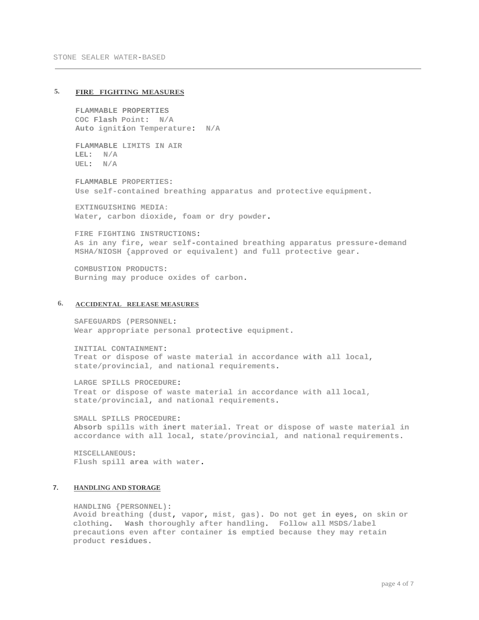# **5. FIRE FIGHTING MEASURES**

**FLAMMABLE PROPERTIES COC Flash Point: N/A Auto ignition Temperature: N/A**

**FLAMMABLE LIMITS IN AIR LEL: N/A UEL: N/A**

**FLAMMABLE PROPERTIES: Use self-contained breathing apparatus and protective equipment.**

**EXTINGUISHING MEDIA: Water, carbon dioxide, foam or dry powder.**

**FIRE FIGHTING INSTRUCTIONS: As in any fire, wear self-contained breathing apparatus pressure-demand MSHA/NIOSH {approved or equivalent) and full protective gear.**

**COMBUSTION PRODUCTS: Burning may produce oxides of carbon.**

#### **6. ACCIDENTAL RELEASE MEASURES**

**SAFEGUARDS (PERSONNEL: Wear appropriate personal protective equipment.**

**INITIAL CONTAINMENT: Treat or dispose of waste material in accordance with all local, state/provincial, and national requirements.**

**LARGE SPILLS PROCEDURE: Treat or dispose of waste material in accordance with all local, state/provincial, and national requirements.**

**SMALL SPILLS PROCEDURE: Absorb spills with inert material. Treat or dispose of waste material in accordance with all local, state/provincial, and national requirements.**

**MISCELLANEOUS: Flush spill area with water.**

## **7. HANDLING AND STORAGE**

**HANDLING {PERSONNEL): Avoid breathing (dust, vapor, mist, gas). Do not get in eyes, on skin or clothing. Wash thoroughly after handling. Follow all MSDS/label precautions even after container is emptied because they may retain product residues.**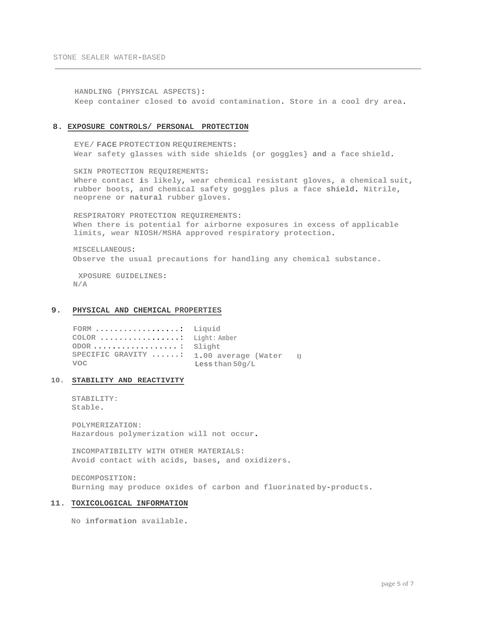**HANDLING (PHYSICAL ASPECTS): Keep container closed to avoid contamination. Store in a cool dry area.**

#### **8. EXPOSURE CONTROLS/ PERSONAL PROTECTION**

**EYE/ FACE PROTECTION REQUIREMENTS: Wear safety glasses with side shields (or goggles} and a face shield.**

**SKIN PROTECTION REQUIREMENTS: Where contact is likely, wear chemical resistant gloves, a chemical suit, rubber boots, and chemical safety goggles plus a face shield. Nitrile, neoprene or natural rubber gloves.**

**RESPIRATORY PROTECTION REQUIREMENTS: When there is potential for airborne exposures in excess of applicable limits, wear NIOSH/MSHA approved respiratory protection.**

**MISCELLANEOUS: Observe the usual precautions for handling any chemical substance.**

**XPOSURE GUIDELINES: N/A**

## **9. PHYSICAL AND CHEMICAL PROPERTIES**

```
FORM ..................:
Liquid 
COLOR .................:
Light: Amber 
ODOR .................. : 
Slight
SPECIFIC GRAVITY ......:
1.00 average (Water l}
voc
                          Less than 50g/L
```
# **10. STABILITY AND REACTIVITY**

**STABILITY: Stable.**

**POLYMERIZATION: Hazardous polymerization will not occur.**

**INCOMPATIBILITY WITH OTHER MATERIALS: Avoid contact with acids, bases, and oxidizers.**

**DECOMPOSITION: Burning may produce oxides of carbon and fluorinated by-products.**

#### **11. TOXICOLOGICAL INFORMATION**

**No information available.**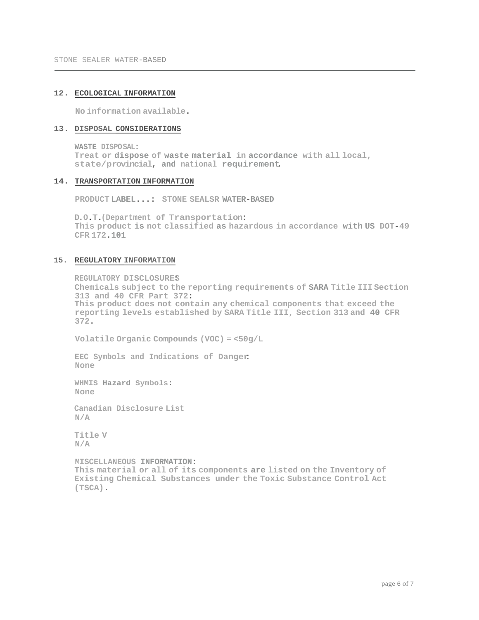#### **12. ECOLOGICAL INFORMATION**

**No information available.**

# **13. DISPOSAL CONSIDERATIONS**

**WASTE DISPOSAL: Treat or dispose of waste material in accordance with all local, state/provincial, and national requirement.**

#### **14. TRANSPORTATION INFORMATION**

**PRODUCT LABEL...: STONE SEALSR WATER-BASED**

**D.O.T.(Department of Transportation: This product is not classified as hazardous in accordance with US DOT-49 CFR 172.101**

#### **15. REGULATORY INFORMATION**

**REGULATORY DISCLOSURE:S Chemicals subject to the reporting requirements of SARA Title III Section 313 and 40 CFR Part 372: This product does not contain any chemical components that exceed the reporting levels established by SARA Title III, Section 313 and 40 CFR 372.**

**Volatile Organic Compounds (VOC) = <50g/L**

**EEC Symbols and Indications of Danger: None**

**WHMIS Hazard Symbols: None**

**Canadian Disclosure List N/A**

**Title V N/A**

**MISCELLANEOUS INFORMATION: This material or all of its components are listed on the Inventory of Existing Chemical Substances under the Toxic Substance Control Act (TSCA).**